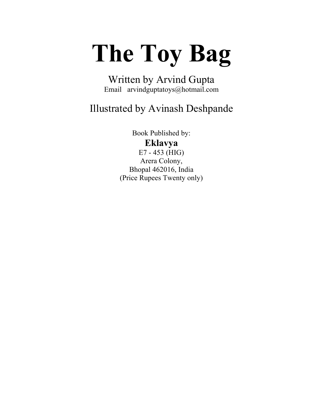## **The Toy Bag**

Written by Arvind Gupta Email arvindguptatoys@hotmail.com

### Illustrated by Avinash Deshpande

Book Published by: **Eklavya** E7 - 453 (HIG) Arera Colony, Bhopal 462016, India (Price Rupees Twenty only)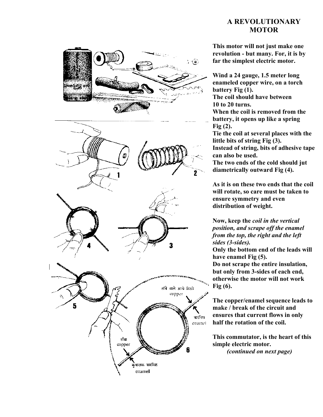### **A REVOLUTIONARY MOTOR**



**This motor will not just make one revolution - but many. For, it is by far the simplest electric motor.**

**Wind a 24 gauge, 1.5 meter long enameled copper wire, on a torch battery Fig (1).**

**The coil should have between 10 to 20 turns.**

**When the coil is removed from the battery, it opens up like a spring Fig (2).**

**Tie the coil at several places with the little bits of string Fig (3). Instead of string, bits of adhesive tape can also be used.**

**The two ends of the cold should jut diametrically outward Fig (4).**

**As it is on these two ends that the coil will rotate, so care must be taken to ensure symmetry and even distribution of weight.**

**Now, keep the** *coil in the vertical position, and scrape off the enamel from the top, the right and the left sides (3-sides).*

**Only the bottom end of the leads will have enamel Fig (5). Do not scrape the entire insulation, but only from 3-sides of each end, otherwise the motor will not work Fig (6).**

**The copper/enamel sequence leads to make / break of the circuit and ensures that current flows in only half the rotation of the coil.**

**This commutator, is the heart of this simple electric motor.** *(continued on next page)*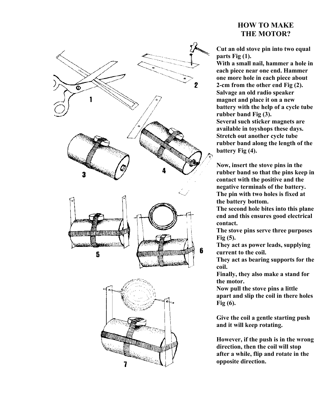

### **HOW TO MAKE THE MOTOR?**

**Cut an old stove pin into two equal parts Fig (1).**

**With a small nail, hammer a hole in each piece near one end. Hammer one more hole in each piece about 2-cm from the other end Fig (2). Salvage an old radio speaker magnet and place it on a new battery with the help of a cycle tube rubber band Fig (3). Several such sticker magnets are available in toyshops these days. Stretch out another cycle tube rubber band along the length of the battery Fig (4).**

**Now, insert the stove pins in the rubber band so that the pins keep in contact with the positive and the negative terminals of the battery. The pin with two holes is fixed at the battery bottom.**

**The second hole bites into this plane end and this ensures good electrical contact.**

**The stove pins serve three purposes Fig (5).**

**They act as power leads, supplying current to the coil.**

**They act as bearing supports for the coil.**

**Finally, they also make a stand for the motor.**

**Now pull the stove pins a little apart and slip the coil in there holes Fig (6).**

**Give the coil a gentle starting push and it will keep rotating.**

**However, if the push is in the wrong direction, then the coil will stop after a while, flip and rotate in the opposite direction.**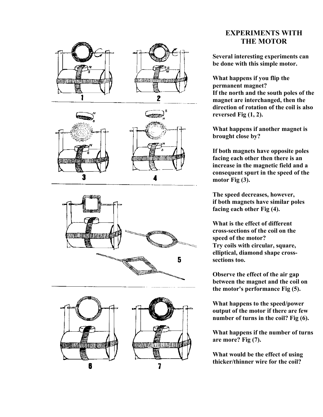





### **EXPERIMENTS WITH THE MOTOR**

**Several interesting experiments can be done with this simple motor.**

**What happens if you flip the permanent magnet? If the north and the south poles of the magnet are interchanged, then the direction of rotation of the coil is also reversed Fig (1, 2).**

**What happens if another magnet is brought close by?**

**If both magnets have opposite poles facing each other then there is an increase in the magnetic field and a consequent spurt in the speed of the motor Fig (3).**

**The speed decreases, however, if both magnets have similar poles facing each other Fig (4).**

**What is the effect of different cross-sections of the coil on the speed of the motor? Try coils with circular, square, elliptical, diamond shape crosssections too.**

**Observe the effect of the air gap between the magnet and the coil on the motor's performance Fig (5).**

**What happens to the speed/power output of the motor if there are few number of turns in the coil? Fig (6).**

**What happens if the number of turns are more? Fig (7).**

**What would be the effect of using thicker/thinner wire for the coil?**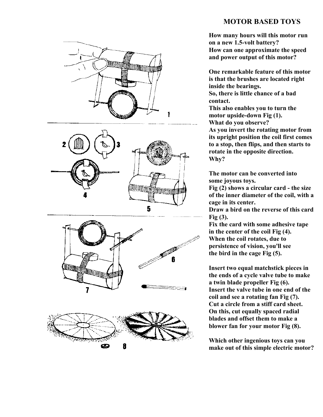# **WINDOW! ITO MARIE** 2 und Winn 5 enné<br>Léon 7



### **MOTOR BASED TOYS**

**How many hours will this motor run on a new 1.5-volt battery? How can one approximate the speed and power output of this motor?**

**One remarkable feature of this motor is that the brushes are located right inside the bearings. So, there is little chance of a bad contact.**

**This also enables you to turn the motor upside-down Fig (1). What do you observe? As you invert the rotating motor from its upright position the coil first comes to a stop, then flips, and then starts to rotate in the opposite direction. Why?**

**The motor can be converted into some joyous toys.**

**Fig (2) shows a circular card - the size of the inner diameter of the coil, with a cage in its center.**

**Draw a bird on the reverse of this card Fig (3).**

**Fix the card with some adhesive tape in the center of the coil Fig (4). When the coil rotates, due to persistence of vision, you'll see the bird in the cage Fig (5).**

**Insert two equal matchstick pieces in the ends of a cycle valve tube to make a twin blade propeller Fig (6). Insert the valve tube in one end of the coil and see a rotating fan Fig (7). Cut a circle from a stiff card sheet. On this, cut equally spaced radial blades and offset them to make a blower fan for your motor Fig (8).**

**Which other ingenious toys can you make out of this simple electric motor?**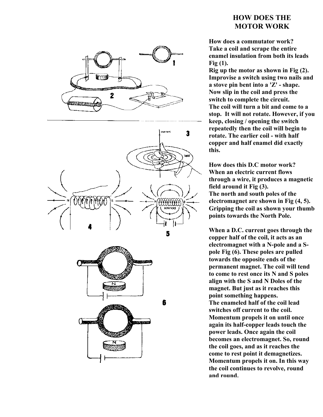

### **HOW DOES THE MOTOR WORK**

**How does a commutator work? Take a coil and scrape the entire enamel insulation from both its leads Fig (1).**

**Rig up the motor as shown in Fig (2). Improvise a switch using two nails and a stove pin bent into a 'Z' - shape. Now slip in the coil and press the switch to complete the circuit. The coil will turn a bit and come to a stop. It will not rotate. However, if you keep, closing / opening the switch repeatedly then the coil will begin to rotate. The earlier coil - with half copper and half enamel did exactly this.**

**How does this D.C motor work? When an electric current flows through a wire, it produces a magnetic field around it Fig (3). The north and south poles of the electromagnet are shown in Fig (4, 5). Gripping the coil as shown your thumb points towards the North Pole.**

**When a D.C. current goes through the copper half of the coil, it acts as an electromagnet with a N-pole and a Spole Fig (6). These poles are pulled towards the opposite ends of the permanent magnet. The coil will tend to come to rest once its N and S poles align with the S and N Doles of the magnet. But just as it reaches this point something happens. The enameled half of the coil lead switches off current to the coil. Momentum propels it on until once again its half-copper leads touch the power leads. Once again the coil becomes an electromagnet. So, round the coil goes, and as it reaches the come to rest point it demagnetizes. Momentum propels it on. In this way the coil continues to revolve, round and round.**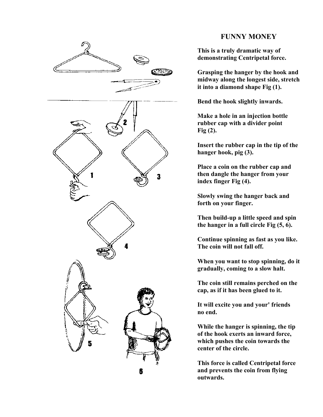

### **FUNNY MONEY**

**This is a truly dramatic way of demonstrating Centripetal force.**

**Grasping the hanger by the hook and midway along the longest side, stretch it into a diamond shape Fig (1).**

**Bend the hook slightly inwards.**

**Make a hole in an injection bottle rubber cap with a divider point Fig (2).**

**Insert the rubber cap in the tip of the hanger hook, pig (3).**

**Place a coin on the rubber cap and then dangle the hanger from your index finger Fig (4).**

**Slowly swing the hanger back and forth on your finger.**

**Then build-up a little speed and spin the hanger in a full circle Fig (5, 6).**

**Continue spinning as fast as you like. The coin will not fall off.**

**When you want to stop spinning, do it gradually, coming to a slow halt.**

**The coin still remains perched on the cap, as if it has been glued to it.**

**It will excite you and your' friends no end.**

**While the hanger is spinning, the tip of the hook exerts an inward force, which pushes the coin towards the center of the circle.**

**This force is called Centripetal force and prevents the coin from flying outwards.**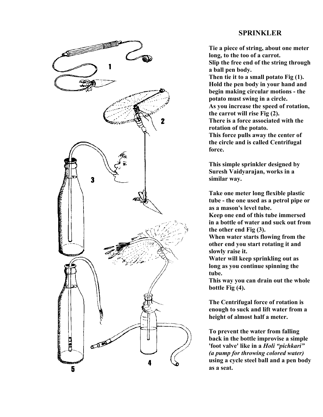# **The Community of the Community of the Community** 1 2  $\overline{\mathbf{3}}$ **LANGER AND ASSESSMENT AND ARRA** on 4 5

### **SPRINKLER**

**Tie a piece of string, about one meter long, to the too of a carrot. Slip the free end of the string through a ball pen body. Then tie it to a small potato Fig (1). Hold the pen body in your hand and begin making circular motions - the potato must swing in a circle. As you increase the speed of rotation, the carrot will rise Fig (2). There is a force associated with the rotation of the potato. This force pulls away the center of the circle and is called Centrifugal force.**

**This simple sprinkler designed by Suresh Vaidyarajan, works in a similar way.**

**Take one meter long flexible plastic tube - the one used as a petrol pipe or as a mason's level tube. Keep one end of this tube immersed**

**in a bottle of water and suck out from the other end Fig (3).**

**When water starts flowing from the other end you start rotating it and slowly raise it.**

**Water will keep sprinkling out as long as you continue spinning the tube.**

**This way you can drain out the whole bottle Fig (4).**

**The Centrifugal force of rotation is enough to suck and lift water from a height of almost half a meter.**

**To prevent the water from falling back in the bottle improvise a simple 'foot valve' like in a** *Holi "pichkari" (a pump for throwing colored water)* **using a cycle steel ball and a pen body as a seat.**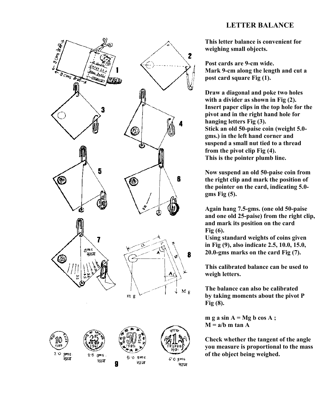### **LETTER BALANCE**



**This letter balance is convenient for weighing small objects.**

**Post cards are 9-cm wide. Mark 9-cm along the length and cut a post card square Fig (1).**

**Draw a diagonal and poke two holes with a divider as shown in Fig (2). Insert paper clips in the top hole for the pivot and in the right hand hole for hanging letters Fig (3). Stick an old 50-paise coin (weight 5.0 gms.) in the left hand corner and suspend a small nut tied to a thread from the pivot clip Fig (4). This is the pointer plumb line.**

**Now suspend an old 50-paise coin from the right clip and mark the position of the pointer on the card, indicating 5.0 gms Fig (5).**

**Again hang 7.5-gms. (one old 50-paise and one old 25-paise) from the right clip, and mark its position on the card Fig (6).**

**Using standard weights of coins given in Fig (9), also indicate 2.5, 10.0, 15.0, 20.0-gms marks on the card Fig (7).**

**This calibrated balance can be used to weigh letters.**

**The balance can also be calibrated by taking moments about the pivot P Fig (8).**

 $m g a sin A = Mg b cos A;$  $M = a/b$  m tan A

**Check whether the tangent of the angle you measure is proportional to the mass of the object being weighed.**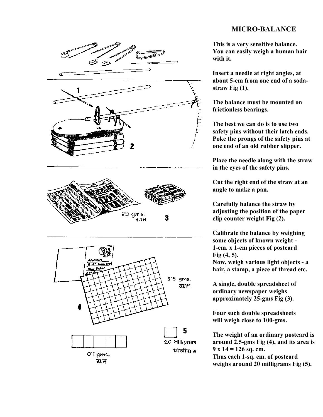### **MICRO-BALANCE**



**This is a very sensitive balance. You can easily weigh a human hair with it.**

**Insert a needle at right angles, at about 5-cm from one end of a sodastraw Fig (1).**

**The balance must be mounted on frictionless bearings.**

**The best we can do is to use two safety pins without their latch ends. Poke the prongs of the safety pins at one end of an old rubber slipper.**

**Place the needle along with the straw in the eyes of the safety pins.**

**Cut the right end of the straw at an angle to make a pan.**

**Carefully balance the straw by adjusting the position of the paper clip counter weight Fig (2).**

**Calibrate the balance by weighing some objects of known weight - 1-cm. x 1-cm pieces of postcard Fig (4, 5). Now, weigh various light objects - a hair, a stamp, a piece of thread etc.**

**A single, double spreadsheet of ordinary newspaper weighs approximately 25-gms Fig (3).**

**Four such double spreadsheets will weigh close to 100-gms.**

**The weight of an ordinary postcard is around 2.5-gms Fig (4), and its area is 9 x 14 = 126 sq. cm. Thus each 1-sq. cm. of postcard weighs around 20 milligrams Fig (5).**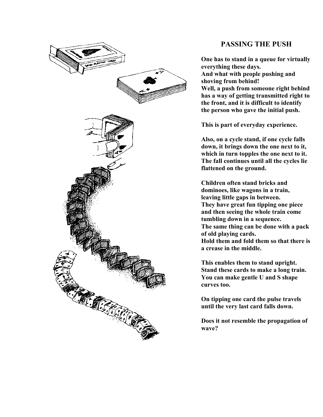

### **PASSING THE PUSH**

**One has to stand in a queue for virtually everything these days. And what with people pushing and shoving from behind! Well, a push from someone right behind has a way of getting transmitted right to the front, and it is difficult to identify the person who gave the initial push.**

**This is part of everyday experience.**

**Also, on a cycle stand, if one cycle falls down, it brings down the one next to it, which in turn topples the one next to it. The fall continues until all the cycles lie flattened on the ground.**

**Children often stand bricks and dominoes, like wagons in a train, leaving little gaps in between. They have great fun tipping one piece and then seeing the whole train come tumbling down in a sequence. The same thing can be done with a pack of old playing cards. Hold them and fold them so that there is a crease in the middle.**

**This enables them to stand upright. Stand these cards to make a long train. You can make gentle U and S shape curves too.**

**On tipping one card the pulse travels until the very last card falls down.**

**Does it not resemble the propagation of wave?**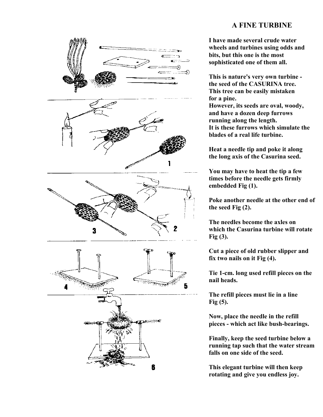

### **A FINE TURBINE**

**I have made several crude water wheels and turbines using odds and bits, but this one is the most sophisticated one of them all.**

**This is nature's very own turbine the seed of the CASURINA tree. This tree can be easily mistaken for a pine. However, its seeds are oval, woody, and have a dozen deep furrows running along the length. It is these furrows which simulate the blades of a real life turbine.**

**Heat a needle tip and poke it along the long axis of the Casurina seed.**

**You may have to heat the tip a few times before the needle gets firmly embedded Fig (1).**

**Poke another needle at the other end of the seed Fig (2).**

**The needles become the axles on which the Casurina turbine will rotate Fig (3).**

**Cut a piece of old rubber slipper and fix two nails on it Fig (4).**

**Tie 1-cm. long used refill pieces on the nail heads.**

**The refill pieces must lie in a line Fig (5).**

**Now, place the needle in the refill pieces - which act like bush-bearings.**

**Finally, keep the seed turbine below a running tap such that the water stream falls on one side of the seed.**

**This elegant turbine will then keep rotating and give you endless joy.**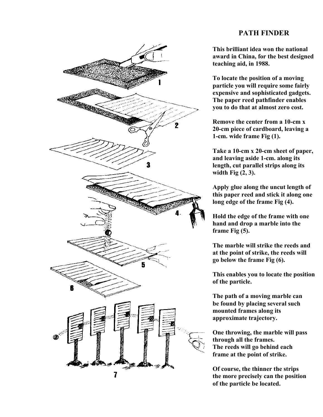### **PATH FINDER**



**This brilliant idea won the national award in China, for the best designed teaching aid, in 1988.**

**To locate the position of a moving particle you will require some fairly expensive and sophisticated gadgets. The paper reed pathfinder enables you to do that at almost zero cost.**

**Remove the center from a 10-cm x 20-cm piece of cardboard, leaving a 1-cm. wide frame Fig (1).**

**Take a 10-cm x 20-cm sheet of paper, and leaving aside 1-cm. along its length, cut parallel strips along its width Fig (2, 3).**

**Apply glue along the uncut length of this paper reed and stick it along one long edge of the frame Fig (4).**

**Hold the edge of the frame with one hand and drop a marble into the frame Fig (5).**

**The marble will strike the reeds and at the point of strike, the reeds will go below the frame Fig (6).**

**This enables you to locate the position of the particle.**

**The path of a moving marble can be found by placing several such mounted frames along its approximate trajectory.**

**One throwing, the marble will pass through all the frames. The reeds will go behind each frame at the point of strike.**

**Of course, the thinner the strips the more precisely can the position of the particle be located.**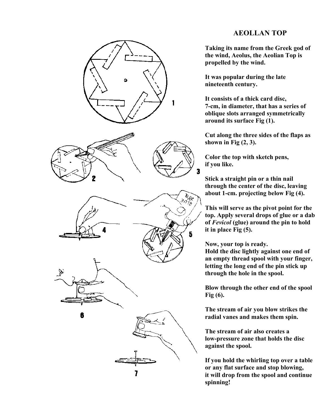

### **AEOLLAN TOP**

**Taking its name from the Greek god of the wind, Aeolus, the Aeolian Top is propelled by the wind.**

**It was popular during the late nineteenth century.**

**It consists of a thick card disc, 7-cm, in diameter, that has a series of oblique slots arranged symmetrically around its surface Fig (1).**

**Cut along the three sides of the flaps as shown in Fig (2, 3).**

**Color the top with sketch pens, if you like.**

**Stick a straight pin or a thin nail through the center of the disc, leaving about 1-cm. projecting below Fig (4).**

**This will serve as the pivot point for the top. Apply several drops of glue or a dab of** *Fevicol* **(glue) around the pin to hold it in place Fig (5).**

**Now, your top is ready.**

**Hold the disc lightly against one end of an empty thread spool with your finger, letting the long end of the pin stick up through the hole in the spool.**

**Blow through the other end of the spool Fig (6).**

**The stream of air you blow strikes the radial vanes and makes them spin.**

**The stream of air also creates a low-pressure zone that holds the disc against the spool.**

**If you hold the whirling top over a table or any flat surface and stop blowing, it will drop from the spool and continue spinning!**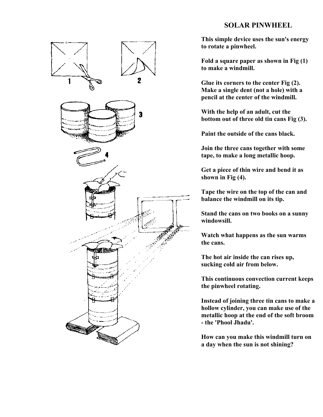### **SOLAR PINWHEEL**



**This simple device uses the sun's energy to rotate a pinwheel.**

**Fold a square paper as shown in Fig (1) to make a windmill.**

**Glue its corners to the center Fig (2). Make a single dent (not a hole) with a pencil at the center of the windmill.**

**With the help of an adult, cut the bottom out of three old tin cans Fig (3).**

**Paint the outside of the cans black.**

**Join the three cans together with some tape, to make a long metallic hoop.**

**Get a piece of thin wire and bend it as shown in Fig (4).**

**Tape the wire on the top of the can and balance the windmill on its tip.**

**Stand the cans on two books on a sunny windowsill.**

**Watch what happens as the sun warms the cans.**

**The hot air inside the can rises up, sucking cold air from below.**

**This continuous convection current keeps the pinwheel rotating.**

**Instead of joining three tin cans to make a hollow cylinder, you can make use of the metallic hoop at the end of the soft broom - the 'Phool Jhadu'.**

**How can you make this windmill turn on a day when the sun is not shining?**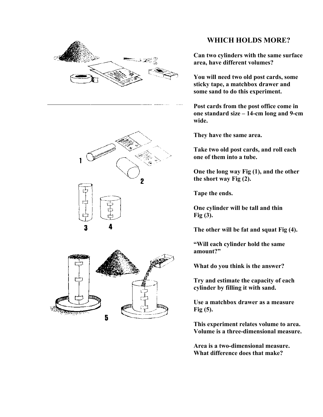





### **WHICH HOLDS MORE?**

**Can two cylinders with the same surface area, have different volumes?**

**You will need two old post cards, some sticky tape, a matchbox drawer and some sand to do this experiment.**

**Post cards from the post office come in one standard size – 14-cm long and 9-cm wide.**

**They have the same area.**

**Take two old post cards, and roll each one of them into a tube.**

**One the long way Fig (1), and the other the short way Fig (2).**

**Tape the ends.**

**One cylinder will be tall and thin Fig (3).**

**The other will be fat and squat Fig (4).**

**"Will each cylinder hold the same amount?"**

**What do you think is the answer?**

**Try and estimate the capacity of each cylinder by filling it with sand.**

**Use a matchbox drawer as a measure Fig (5).**

**This experiment relates volume to area. Volume is a three-dimensional measure.**

**Area is a two-dimensional measure. What difference does that make?**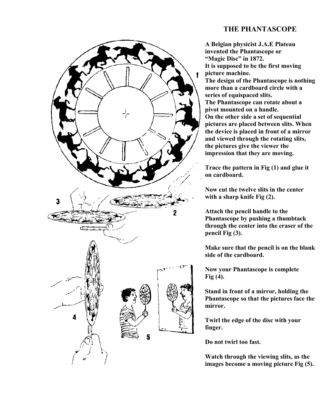### **THE PHANTASCOPE**



**A Belgian physicist J.A.E Plateau invented the Phantascope or "Magic Disc" in 1872. It is supposed to be the first moving picture machine. The design of the Phantascope is nothing more than a cardboard circle with a series of equispaced slits. The Phantascope can rotate about a pivot mounted on a handle. On the other side a set of sequential pictures are placed between slits. When the device is placed in front of a mirror and viewed through the rotating slits, the pictures give the viewer the impression that they are moving.**

**Trace the pattern in Fig (1) and glue it on cardboard.**

**Now cut the twelve slits in the center with a sharp knife Fig (2).**

**Attach the pencil handle to the Phantascope by pushing a thumbtack through the center into the eraser of the pencil Fig (3).**

**Make sure that the pencil is on the blank side of the cardboard.**

**Now your Phantascope is complete Fig (4).**

**Stand in front of a mirror, holding the Phantascope so that the pictures face the mirror.**

**Twirl the edge of the disc with your finger.**

**Do not twirl too fast.**

**Watch through the viewing slits, as the images become a moving picture Fig (5).**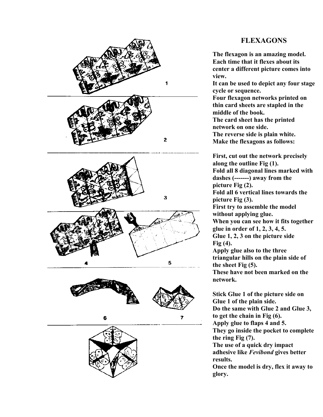

### **FLEXAGONS**

**The flexagon is an amazing model. Each time that it flexes about its center a different picture comes into view. It can be used to depict any four stage**

**cycle or sequence. Four flexagon networks printed on thin card sheets are stapled in the middle of the book.**

**The card sheet has the printed network on one side.**

**The reverse side is plain white. Make the flexagons as follows:**

**First, cut out the network precisely along the outline Fig (1). Fold all 8 diagonal lines marked with dashes (-------) away from the picture Fig (2). Fold all 6 vertical lines towards the picture Fig (3). First try to assemble the model without applying glue. When you can see how it fits together glue in order of 1, 2, 3, 4, 5. Glue 1, 2, 3 on the picture side Fig (4). Apply glue also to the three triangular hills on the plain side of the sheet Fig (5).**

**These have not been marked on the network.**

**Stick Glue 1 of the picture side on Glue 1 of the plain side. Do the same with Glue 2 and Glue 3, to get the chain in Fig (6). Apply glue to flaps 4 and 5. They go inside the pocket to complete the ring Fig (7). The use of a quick dry impact adhesive like** *Fevibond* **gives better results. Once the model is dry, flex it away to**

**glory.**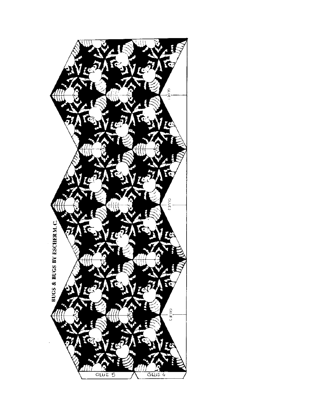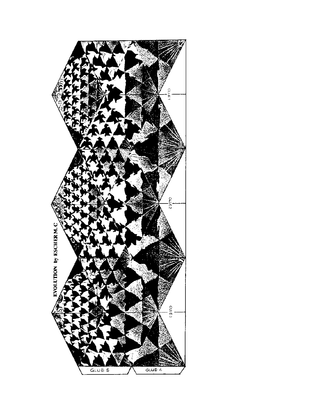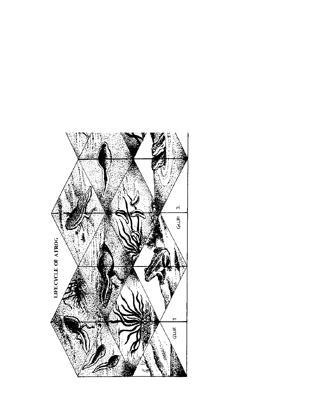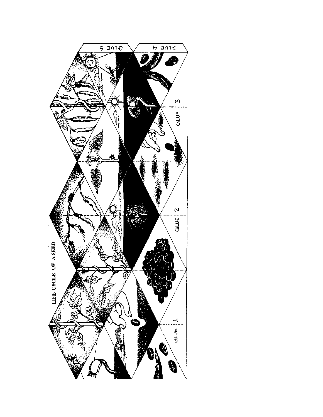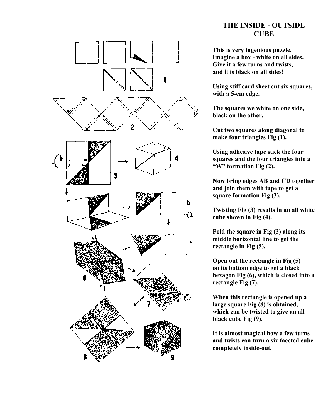

### **THE INSIDE - OUTSIDE CUBE**

**This is very ingenious puzzle. Imagine a box - white on all sides. Give it a few turns and twists, and it is black on all sides!**

**Using stiff card sheet cut six squares, with a 5-cm edge.**

**The squares we white on one side, black on the other.**

**Cut two squares along diagonal to make four triangles Fig (1).**

**Using adhesive tape stick the four squares and the four triangles into a "W" formation Fig (2).**

**Now bring edges AB and CD together and join them with tape to get a square formation Fig (3).**

**Twisting Fig (3) results in an all white cube shown in Fig (4).**

**Fold the square in Fig (3) along its middle horizontal line to get the rectangle in Fig (5).**

**Open out the rectangle in Fig (5) on its bottom edge to get a black hexagon Fig (6), which is closed into a rectangle Fig (7).**

**When this rectangle is opened up a large square Fig (8) is obtained, which can be twisted to give an all black cube Fig (9).**

**It is almost magical how a few turns and twists can turn a six faceted cube completely inside-out.**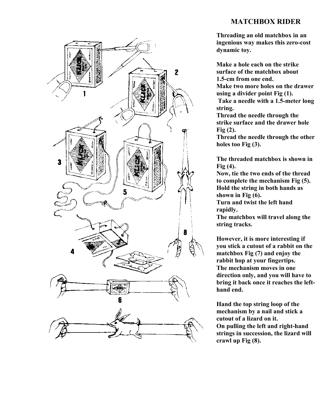

### **MATCHBOX RIDER**

**Threading an old matchbox in an ingenious way makes this zero-cost dynamic toy.**

**Make a hole each on the strike surface of the matchbox about 1.5-cm from one end.**

**Make two more holes on the drawer using a divider point Fig (1).**

 **Take a needle with a 1.5-meter long string.**

**Thread the needle through the strike surface and the drawer hole Fig (2).**

**Thread the needle through the other holes too Fig (3).**

**The threaded matchbox is shown in Fig (4).**

**Now, tie the two ends of the thread to complete the mechanism Fig (5). Hold the string in both hands as shown in Fig (6).**

**Turn and twist the left hand rapidly.**

**The matchbox will travel along the string tracks.**

**However, it is more interesting if you stick a cutout of a rabbit on the matchbox Fig (7) and enjoy the rabbit hop at your fingertips. The mechanism moves in one direction only, and you will have to bring it back once it reaches the lefthand end.**

**Hand the top string loop of the mechanism by a nail and stick a cutout of a lizard on it. On pulling the left and right-hand strings in succession, the lizard will crawl up Fig (8).**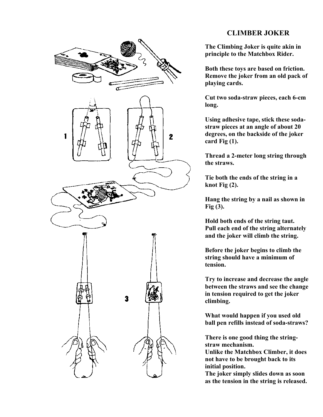# $\mathbf 2$ 3

### **CLIMBER JOKER**

**The Climbing Joker is quite akin in principle to the Matchbox Rider.**

**Both these toys are based on friction. Remove the joker from an old pack of playing cards.**

**Cut two soda-straw pieces, each 6-cm long.**

**Using adhesive tape, stick these sodastraw pieces at an angle of about 20 degrees, on the backside of the joker card Fig (1).**

**Thread a 2-meter long string through the straws.**

**Tie both the ends of the string in a knot Fig (2).**

**Hang the string by a nail as shown in Fig (3).**

**Hold both ends of the string taut. Pull each end of the string alternately and the joker will climb the string.**

**Before the joker begins to climb the string should have a minimum of tension.**

**Try to increase and decrease the angle between the straws and see the change in tension required to get the joker climbing.**

**What would happen if you used old ball pen refills instead of soda-straws?**

**There is one good thing the stringstraw mechanism.**

**Unlike the Matchbox Climber, it does not have to be brought back to its initial position.**

**The joker simply slides down as soon as the tension in the string is released.**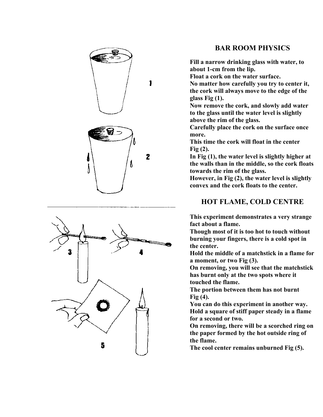



### **BAR ROOM PHYSICS**

**Fill a narrow drinking glass with water, to about 1-cm from the lip.**

**Float a cork on the water surface.**

**No matter how carefully you try to center it, the cork will always move to the edge of the glass Fig (1).**

**Now remove the cork, and slowly add water to the glass until the water level is slightly above the rim of the glass.**

**Carefully place the cork on the surface once more.**

**This time the cork will float in the center Fig (2).**

**In Fig (1), the water level is slightly higher at the walls than in the middle, so the cork floats towards the rim of the glass.**

**However, in Fig (2), the water level is slightly convex and the cork floats to the center.**

### **HOT FLAME, COLD CENTRE**

**This experiment demonstrates a very strange fact about a flame.**

**Though most of it is too hot to touch without burning your fingers, there is a cold spot in the center.**

**Hold the middle of a matchstick in a flame for a moment, or two Fig (3).**

**On removing, you will see that the matchstick has burnt only at the two spots where it touched the flame.**

**The portion between them has not burnt Fig (4).**

**You can do this experiment in another way. Hold a square of stiff paper steady in a flame for a second or two.**

**On removing, there will be a scorched ring on the paper formed by the hot outside ring of the flame.**

**The cool center remains unburned Fig (5).**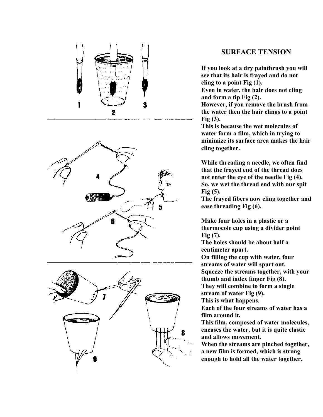

### **SURFACE TENSION**

**If you look at a dry paintbrush you will see that its hair is frayed and do not cling to a point Fig (1).**

**Even in water, the hair does not cling and form a tip Fig (2).**

**However, if you remove the brush from the water then the hair clings to a point Fig (3).**

**This is because the wet molecules of water form a film, which in trying to minimize its surface area makes the hair cling together.**

**While threading a needle, we often find that the frayed end of the thread does not enter the eye of the needle Fig (4). So, we wet the thread end with our spit Fig (5).**

**The frayed fibers now cling together and ease threading Fig (6).**

**Make four holes in a plastic or a thermocole cup using a divider point Fig (7).**

**The holes should be about half a centimeter apart.**

**On filling the cup with water, four streams of water will spurt out. Squeeze the streams together, with your thumb and index finger Fig (8).**

**They will combine to form a single stream of water Fig (9).**

**This is what happens.**

**Each of the four streams of water has a film around it.**

**This film, composed of water molecules, encases the water, but it is quite elastic and allows movement.**

**When the streams are pinched together, a new film is formed, which is strong enough to hold all the water together.**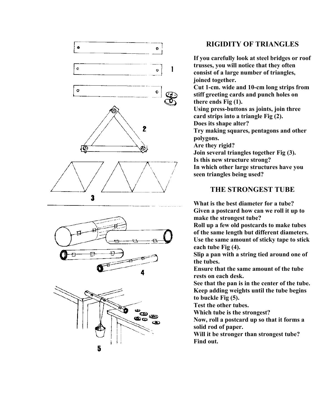

5

### **RIGIDITY OF TRIANGLES**

**If you carefully look at steel bridges or roof trusses, you will notice that they often consist of a large number of triangles, joined together. Cut 1-cm. wide and 10-cm long strips from stiff greeting cards and punch holes on there ends Fig (1). Using press-buttons as joints, join three card strips into a triangle Fig (2). Does its shape alter? Try making squares, pentagons and other polygons. Are they rigid? Join several triangles together Fig (3). Is this new structure strong? In which other large structures have you seen triangles being used?**

### **THE STRONGEST TUBE**

**What is the best diameter for a tube? Given a postcard how can we roll it up to make the strongest tube?**

**Roll up a few old postcards to make tubes of the same length but different diameters. Use the same amount of sticky tape to stick each tube Fig (4).**

**Slip a pan with a string tied around one of the tubes.**

**Ensure that the same amount of the tube rests on each desk.**

**See that the pan is in the center of the tube. Keep adding weights until the tube begins to buckle Fig (5).**

**Test the other tubes.**

**Which tube is the strongest?**

**Now, roll a postcard up so that it forms a solid rod of paper.**

**Will it be stronger than strongest tube? Find out.**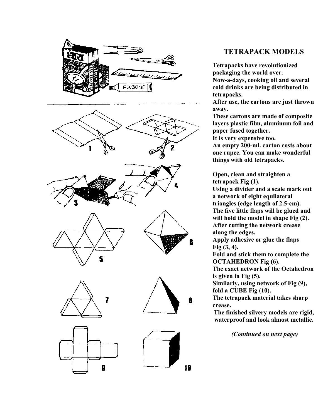

### **TETRAPACK MODELS**

**Tetrapacks have revolutionized packaging the world over. Now-a-days, cooking oil and several cold drinks are being distributed in tetrapacks.**

**After use, the cartons are just thrown away.**

**These cartons are made of composite layers plastic film, aluminum foil and paper fused together.**

**It is very expensive too.**

**An empty 200-ml. carton costs about one rupee. You can make wonderful things with old tetrapacks.**

**Open, clean and straighten a tetrapack Fig (1).**

**Using a divider and a scale mark out a network of eight equilateral triangles (edge length of 2.5-cm). The five little flaps will be glued and will hold the model in shape Fig (2). After cutting the network crease along the edges.**

**Apply adhesive or glue the flaps Fig (3, 4).**

**Fold and stick them to complete the OCTAHEDRON Fig (6).**

**The exact network of the Octahedron is given in Fig (5).**

**Similarly, using network of Fig (9), fold a CUBE Fig (10).**

**The tetrapack material takes sharp crease.**

**The finished silvery models are rigid, waterproof and look almost metallic.**

 *(Continued on next page)*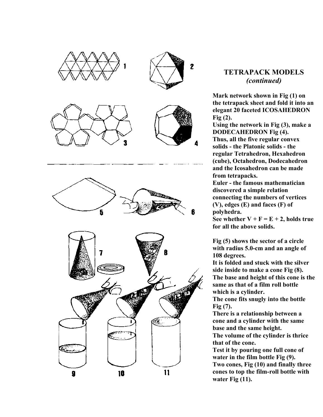

### **TETRAPACK MODELS** *(continued)*

**Mark network shown in Fig (1) on the tetrapack sheet and fold it into an elegant 20 faceted ICOSAHEDRON Fig (2).**

**Using the network in Fig (3), make a DODECAHEDRON Fig (4). Thus, all the five regular convex solids - the Platonic solids - the regular Tetrahedron, Hexahedron (cube), Octahedron, Dodecahedron and the Icosahedron can be made from tetrapacks.**

**Euler - the famous mathematician discovered a simple relation connecting the numbers of vertices (V), edges (E) and faces (F) of polyhedra.**

See whether  $V + F = E + 2$ , holds true **for all the above solids.**

**Fig (5) shows the sector of a circle with radius 5.0-cm and an angle of 108 degrees.**

**It is folded and stuck with the silver side inside to make a cone Fig (8). The base and height of this cone is the same as that of a film roll bottle which is a cylinder.**

**The cone fits snugly into the bottle Fig (7).**

**There is a relationship between a cone and a cylinder with the same base and the same height.**

**The volume of the cylinder is thrice that of the cone.**

**Test it by pouring one full cone of water in the film bottle Fig (9). Two cones, Fig (10) and finally three cones to top the film-roll bottle with water Fig (11).**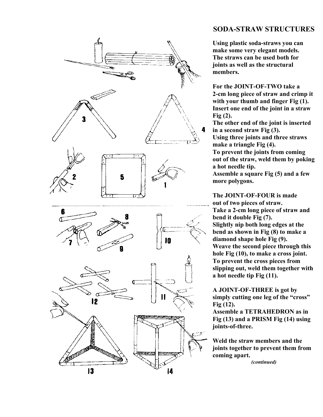

### **SODA-STRAW STRUCTURES**

**Using plastic soda-straws you can make some very elegant models. The straws can be used both for joints as well as the structural members.**

**For the JOINT-OF-TWO take a 2-cm long piece of straw and crimp it with your thumb and finger Fig (1). Insert one end of the joint in a straw Fig (2).**

**The other end of the joint is inserted in a second straw Fig (3). Using three joints and three straws make a triangle Fig (4). To prevent the joints from coming out of the straw, weld them by poking a hot needle tip. Assemble a square Fig (5) and a few**

**more polygons.**

**The JOINT-OF-FOUR is made out of two pieces of straw. Take a 2-cm long piece of straw and bend it double Fig (7). Slightly nip both long edges at the bend as shown in Fig (8) to make a diamond shape hole Fig (9). Weave the second piece through this hole Fig (10), to make a cross joint. To prevent the cross pieces from slipping out, weld them together with a hot needle tip Fig (11).**

**A JOINT-OF-THREE is got by simply cutting one leg of the "cross" Fig (12).**

**Assemble a TETRAHEDRON as in Fig (13) and a PRISM Fig (14) using joints-of-three.**

**Weld the straw members and the joints together to prevent them from coming apart.**

*(continued)*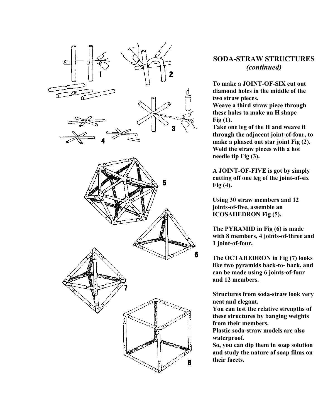

### **SODA-STRAW STRUCTURES** *(continued)*

**To make a JOINT-OF-SIX cut out diamond holes in the middle of the two straw pieces.**

**Weave a third straw piece through these holes to make an H shape Fig (1).**

**Take one leg of the H and weave it through the adjacent joint-of-four, to make a phased out star joint Fig (2). Weld the straw pieces with a hot needle tip Fig (3).**

**A JOINT-OF-FIVE is got by simply cutting off one leg of the joint-of-six Fig (4).**

**Using 30 straw members and 12 joints-of-five, assemble an ICOSAHEDRON Fig (5).**

**The PYRAMID in Fig (6) is made with 8 members, 4 joints-of-three and 1 joint-of-four.**

**The OCTAHEDRON in Fig (7) looks like two pyramids back-to- back, and can be made using 6 joints-of-four and 12 members.**

**Structures from soda-straw look very neat and elegant.**

**You can test the relative strengths of these structures by banging weights from their members.**

**Plastic soda-straw models are also waterproof.**

**So, you can dip them in soap solution and study the nature of soap films on their facets.**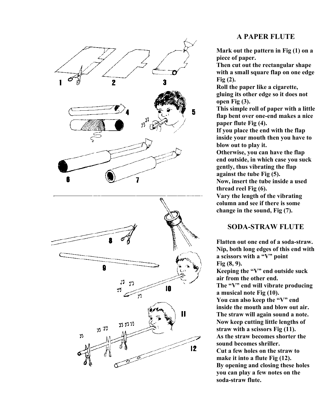

### **A PAPER FLUTE**

**Mark out the pattern in Fig (1) on a piece of paper.**

**Then cut out the rectangular shape with a small square flap on one edge Fig (2).**

**Roll the paper like a cigarette, gluing its other edge so it does not open Fig (3).**

**This simple roll of paper with a little flap bent over one-end makes a nice paper flute Fig (4).**

**If you place the end with the flap inside your mouth then you have to blow out to play it.**

**Otherwise, you can have the flap end outside, in which case you suck gently, thus vibrating the flap against the tube Fig (5). Now, insert the tube inside a used thread reel Fig (6).**

**Vary the length of the vibrating column and see if there is some change in the sound, Fig (7).**

### **SODA-STRAW FLUTE**

**Flatten out one end of a soda-straw. Nip, both long edges of this end with a scissors with a "V" point Fig (8, 9). Keeping the "V" end outside suck air from the other end. The "V" end will vibrate producing a musical note Fig (10). You can also keep the "V" end inside the mouth and blow out air. The straw will again sound a note. Now keep cutting little lengths of straw with a scissors Fig (11). As the straw becomes shorter the sound becomes shriller. Cut a few holes on the straw to make it into a flute Fig (12). By opening and closing these holes you can play a few notes on the soda-straw flute.**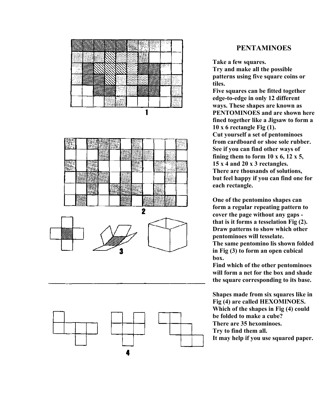

### **PENTAMINOES**

**Take a few squares. Try and make all the possible patterns using five square coins or tiles.**

**Five squares can be fitted together edge-to-edge in only 12 different ways. These shapes are known as PENTOMINOES and are shown here fined together like a Jigsaw to form a 10 x 6 rectangle Fig (1). Cut yourself a set of pentominoes from cardboard or shoe sole rubber. See if you can find other ways of fining them to form 10 x 6, 12 x 5, 15 x 4 and 20 x 3 rectangles. There are thousands of solutions, but feel happy if you can find one for each rectangle.**

**One of the pentomino shapes can form a regular repeating pattern to cover the page without any gaps that is it forms a tesselation Fig (2). Draw patterns to show which other pentominoes will tesselate. The same pentomino lis shown folded in Fig (3) to form an open cubical box.**

**Find which of the other pentominoes will form a net for the box and shade the square corresponding to its base.**

**Shapes made from six squares like in Fig (4) are called HEXOMINOES. Which of the shapes in Fig (4) could be folded to make a cube? There are 35 hexominoes. Try to find them all. It may help if you use squared paper.**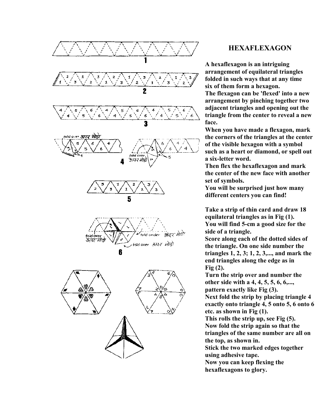

### **HEXAFLEXAGON**

**A hexaflexagon is an intriguing arrangement of equilateral triangles folded in such ways that at any time six of them form a hexagon.**

**The flexagon can be 'flexed' into a new arrangement by pinching together two adjacent triangles and opening out the triangle from the center to reveal a new face.**

**When you have made a flexagon, mark the corners of the triangles at the center of the visible hexagon with a symbol such as a heart or diamond, or spell out a six-letter word.**

**Then flex the hexaflexagon and mark the center of the new face with another set of symbols.**

**You will be surprised just how many different centers you can find!**

**Take a strip of thin card and draw 18 equilateral triangles as in Fig (1). You will find 5-cm a good size for the side of a triangle.**

**Score along each of the dotted sides of the triangle. On one side number the triangles 1, 2, 3; 1, 2, 3,..., and mark the end triangles along the edge as in Fig (2).**

**Turn the strip over and number the other side with a 4, 4, 5, 5, 6, 6,..., pattern exactly like Fig (3). Next fold the strip by placing triangle 4 exactly onto triangle 4, 5 onto 5, 6 onto 6 etc. as shown in Fig (1). This rolls the strip up, see Fig (5). Now fold the strip again so that the**

**triangles of the same number are all on the top, as shown in.**

**Stick the two marked edges together using adhesive tape.**

**Now you can keep flexing the hexaflexagons to glory.**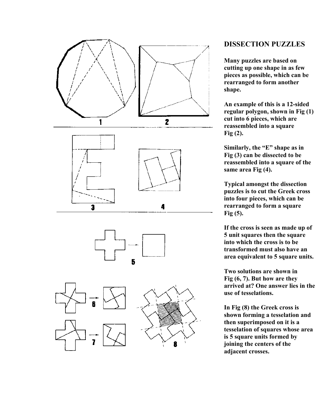



### **DISSECTION PUZZLES**

**Many puzzles are based on cutting up one shape in as few pieces as possible, which can be rearranged to form another shape.**

**An example of this is a 12-sided regular polygon, shown in Fig (1) cut into 6 pieces, which are reassembled into a square Fig (2).**

**Similarly, the "E" shape as in Fig (3) can be dissected to be reassembled into a square of the same area Fig (4).**

**Typical amongst the dissection puzzles is to cut the Greek cross into four pieces, which can be rearranged to form a square Fig (5).**

**If the cross is seen as made up of 5 unit squares then the square into which the cross is to be transformed must also have an area equivalent to 5 square units.**

**Two solutions are shown in Fig (6, 7). But how are they arrived at? One answer lies in the use of tesselations.**

**In Fig (8) the Greek cross is shown forming a tesselation and then superimposed on it is a tesselation of squares whose area is 5 square units formed by joining the centers of the adjacent crosses.**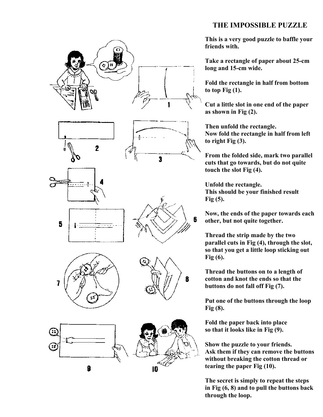### **THE IMPOSSIBLE PUZZLE**



**This is a very good puzzle to baffle your friends with.**

**Take a rectangle of paper about 25-cm long and 15-cm wide.**

**Fold the rectangle in half from bottom to top Fig (1).**

**Cut a little slot in one end of the paper as shown in Fig (2).**

**Then unfold the rectangle. Now fold the rectangle in half from left to right Fig (3).**

**From the folded side, mark two parallel cuts that go towards, but do not quite touch the slot Fig (4).**

**Unfold the rectangle. This should be your finished result Fig (5).**

**Now, the ends of the paper towards each other, but not quite together.**

**Thread the strip made by the two parallel cuts in Fig (4), through the slot, so that you get a little loop sticking out Fig (6).**

**Thread the buttons on to a length of cotton and knot the ends so that the buttons do not fall off Fig (7).**

**Put one of the buttons through the loop Fig (8).**

**Fold the paper back into place so that it looks like in Fig (9).**

**Show the puzzle to your friends. Ask them if they can remove the buttons without breaking the cotton thread or tearing the paper Fig (10).**

**The secret is simply to repeat the steps in Fig (6, 8) and to pull the buttons back through the loop.**